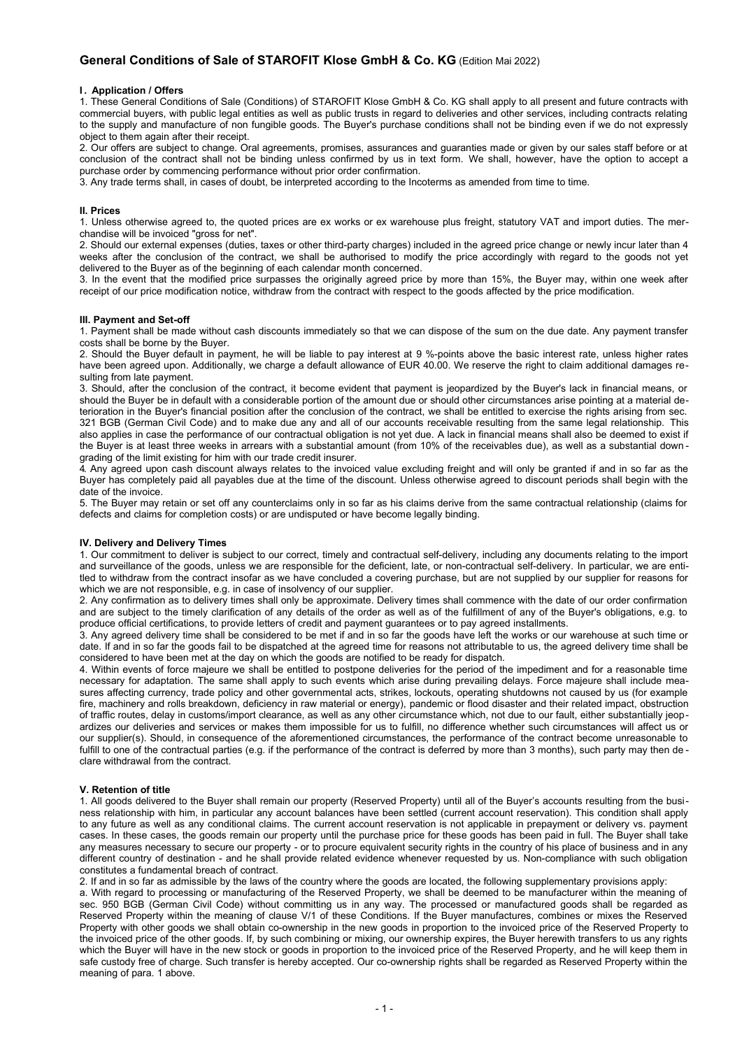# **General Conditions of Sale of STAROFIT Klose GmbH & Co. KG** (Edition Mai 2022)

### **I . Application / Offers**

1. These General Conditions of Sale (Conditions) of STAROFIT Klose GmbH & Co. KG shall apply to all present and future contracts with commercial buyers, with public legal entities as well as public trusts in regard to deliveries and other services, including contracts relating to the supply and manufacture of non fungible goods. The Buyer's purchase conditions shall not be binding even if we do not expressly object to them again after their receipt.

2. Our offers are subject to change. Oral agreements, promises, assurances and guaranties made or given by our sales staff before or at conclusion of the contract shall not be binding unless confirmed by us in text form. We shall, however, have the option to accept a purchase order by commencing performance without prior order confirmation.

3. Any trade terms shall, in cases of doubt, be interpreted according to the Incoterms as amended from time to time.

#### **II. Prices**

1. Unless otherwise agreed to, the quoted prices are ex works or ex warehouse plus freight, statutory VAT and import duties. The merchandise will be invoiced "gross for net".

2. Should our external expenses (duties, taxes or other third-party charges) included in the agreed price change or newly incur later than 4 weeks after the conclusion of the contract, we shall be authorised to modify the price accordingly with regard to the goods not yet delivered to the Buyer as of the beginning of each calendar month concerned.

3. In the event that the modified price surpasses the originally agreed price by more than 15%, the Buyer may, within one week after receipt of our price modification notice, withdraw from the contract with respect to the goods affected by the price modification.

#### **III. Payment and Set-off**

1. Payment shall be made without cash discounts immediately so that we can dispose of the sum on the due date. Any payment transfer costs shall be borne by the Buyer.

2. Should the Buyer default in payment, he will be liable to pay interest at 9 %-points above the basic interest rate, unless higher rates have been agreed upon. Additionally, we charge a default allowance of EUR 40.00. We reserve the right to claim additional damages resulting from late payment.

3. Should, after the conclusion of the contract, it become evident that payment is jeopardized by the Buyer's lack in financial means, or should the Buyer be in default with a considerable portion of the amount due or should other circumstances arise pointing at a material deterioration in the Buyer's financial position after the conclusion of the contract, we shall be entitled to exercise the rights arising from sec. 321 BGB (German Civil Code) and to make due any and all of our accounts receivable resulting from the same legal relationship. This also applies in case the performance of our contractual obligation is not yet due. A lack in financial means shall also be deemed to exist if the Buyer is at least three weeks in arrears with a substantial amount (from 10% of the receivables due), as well as a substantial down grading of the limit existing for him with our trade credit insurer.

4. Any agreed upon cash discount always relates to the invoiced value excluding freight and will only be granted if and in so far as the Buyer has completely paid all payables due at the time of the discount. Unless otherwise agreed to discount periods shall begin with the date of the invoice.

5. The Buyer may retain or set off any counterclaims only in so far as his claims derive from the same contractual relationship (claims for defects and claims for completion costs) or are undisputed or have become legally binding.

## **IV. Delivery and Delivery Times**

1. Our commitment to deliver is subject to our correct, timely and contractual self-delivery, including any documents relating to the import and surveillance of the goods, unless we are responsible for the deficient, late, or non-contractual self-delivery. In particular, we are entitled to withdraw from the contract insofar as we have concluded a covering purchase, but are not supplied by our supplier for reasons for which we are not responsible, e.g. in case of insolvency of our supplier.

2. Any confirmation as to delivery times shall only be approximate. Delivery times shall commence with the date of our order confirmation and are subject to the timely clarification of any details of the order as well as of the fulfillment of any of the Buyer's obligations, e.g. to produce official certifications, to provide letters of credit and payment guarantees or to pay agreed installments.

3. Any agreed delivery time shall be considered to be met if and in so far the goods have left the works or our warehouse at such time or date. If and in so far the goods fail to be dispatched at the agreed time for reasons not attributable to us, the agreed delivery time shall be considered to have been met at the day on which the goods are notified to be ready for dispatch.

4. Within events of force majeure we shall be entitled to postpone deliveries for the period of the impediment and for a reasonable time necessary for adaptation. The same shall apply to such events which arise during prevailing delays. Force majeure shall include measures affecting currency, trade policy and other governmental acts, strikes, lockouts, operating shutdowns not caused by us (for example fire, machinery and rolls breakdown, deficiency in raw material or energy), pandemic or flood disaster and their related impact, obstruction of traffic routes, delay in customs/import clearance, as well as any other circumstance which, not due to our fault, either substantially jeopardizes our deliveries and services or makes them impossible for us to fulfill, no difference whether such circumstances will affect us or our supplier(s). Should, in consequence of the aforementioned circumstances, the performance of the contract become unreasonable to fulfill to one of the contractual parties (e.g. if the performance of the contract is deferred by more than 3 months), such party may then de clare withdrawal from the contract.

#### **V. Retention of title**

1. All goods delivered to the Buyer shall remain our property (Reserved Property) until all of the Buyer's accounts resulting from the business relationship with him, in particular any account balances have been settled (current account reservation). This condition shall apply to any future as well as any conditional claims. The current account reservation is not applicable in prepayment or delivery vs. payment cases. In these cases, the goods remain our property until the purchase price for these goods has been paid in full. The Buyer shall take any measures necessary to secure our property - or to procure equivalent security rights in the country of his place of business and in any different country of destination - and he shall provide related evidence whenever requested by us. Non-compliance with such obligation constitutes a fundamental breach of contract.

2. If and in so far as admissible by the laws of the country where the goods are located, the following supplementary provisions apply: a. With regard to processing or manufacturing of the Reserved Property, we shall be deemed to be manufacturer within the meaning of sec. 950 BGB (German Civil Code) without committing us in any way. The processed or manufactured goods shall be regarded as Reserved Property within the meaning of clause V/1 of these Conditions. If the Buyer manufactures, combines or mixes the Reserved Property with other goods we shall obtain co-ownership in the new goods in proportion to the invoiced price of the Reserved Property to the invoiced price of the other goods. If, by such combining or mixing, our ownership expires, the Buyer herewith transfers to us any rights which the Buyer will have in the new stock or goods in proportion to the invoiced price of the Reserved Property, and he will keep them in safe custody free of charge. Such transfer is hereby accepted. Our co-ownership rights shall be regarded as Reserved Property within the meaning of para. 1 above.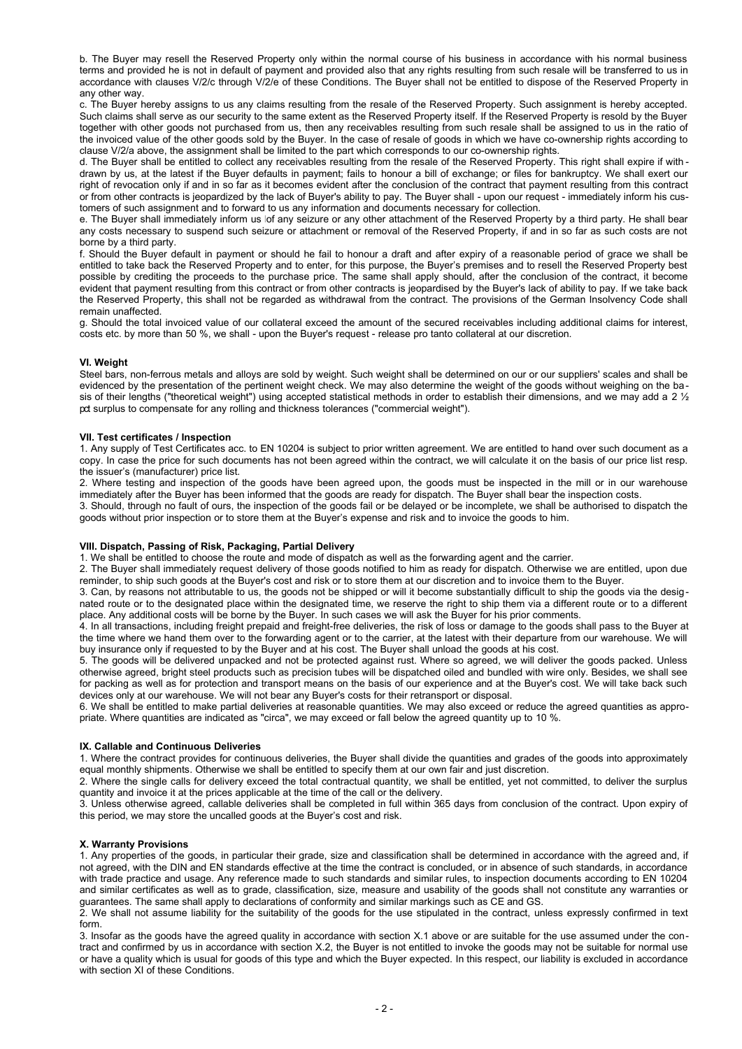b. The Buyer may resell the Reserved Property only within the normal course of his business in accordance with his normal business terms and provided he is not in default of payment and provided also that any rights resulting from such resale will be transferred to us in accordance with clauses V/2/c through V/2/e of these Conditions. The Buyer shall not be entitled to dispose of the Reserved Property in any other way.

c. The Buyer hereby assigns to us any claims resulting from the resale of the Reserved Property. Such assignment is hereby accepted. Such claims shall serve as our security to the same extent as the Reserved Property itself. If the Reserved Property is resold by the Buyer together with other goods not purchased from us, then any receivables resulting from such resale shall be assigned to us in the ratio of the invoiced value of the other goods sold by the Buyer. In the case of resale of goods in which we have co-ownership rights according to clause V/2/a above, the assignment shall be limited to the part which corresponds to our co-ownership rights.

d. The Buyer shall be entitled to collect any receivables resulting from the resale of the Reserved Property. This right shall expire if with drawn by us, at the latest if the Buyer defaults in payment; fails to honour a bill of exchange; or files for bankruptcy. We shall exert our right of revocation only if and in so far as it becomes evident after the conclusion of the contract that payment resulting from this contract or from other contracts is jeopardized by the lack of Buyer's ability to pay. The Buyer shall - upon our request - immediately inform his customers of such assignment and to forward to us any information and documents necessary for collection.

e. The Buyer shall immediately inform us lof any seizure or any other attachment of the Reserved Property by a third party. He shall bear any costs necessary to suspend such seizure or attachment or removal of the Reserved Property, if and in so far as such costs are not borne by a third party.

f. Should the Buyer default in payment or should he fail to honour a draft and after expiry of a reasonable period of grace we shall be entitled to take back the Reserved Property and to enter, for this purpose, the Buyer's premises and to resell the Reserved Property best possible by crediting the proceeds to the purchase price. The same shall apply should, after the conclusion of the contract, it become evident that payment resulting from this contract or from other contracts is jeopardised by the Buyer's lack of ability to pay. If we take back the Reserved Property, this shall not be regarded as withdrawal from the contract. The provisions of the German Insolvency Code shall remain unaffected.

g. Should the total invoiced value of our collateral exceed the amount of the secured receivables including additional claims for interest, costs etc. by more than 50 %, we shall - upon the Buyer's request - release pro tanto collateral at our discretion.

## **VI. Weight**

Steel bars, non-ferrous metals and alloys are sold by weight. Such weight shall be determined on our or our suppliers' scales and shall be evidenced by the presentation of the pertinent weight check. We may also determine the weight of the goods without weighing on the basis of their lengths ("theoretical weight") using accepted statistical methods in order to establish their dimensions, and we may add a 2  $\frac{1}{2}$ pct surplus to compensate for any rolling and thickness tolerances ("commercial weight").

#### **VII. Test certificates / Inspection**

1. Any supply of Test Certificates acc. to EN 10204 is subject to prior written agreement. We are entitled to hand over such document as a copy. In case the price for such documents has not been agreed within the contract, we will calculate it on the basis of our price list resp. the issuer's (manufacturer) price list.

2. Where testing and inspection of the goods have been agreed upon, the goods must be inspected in the mill or in our warehouse immediately after the Buyer has been informed that the goods are ready for dispatch. The Buyer shall bear the inspection costs.

3. Should, through no fault of ours, the inspection of the goods fail or be delayed or be incomplete, we shall be authorised to dispatch the goods without prior inspection or to store them at the Buyer's expense and risk and to invoice the goods to him.

### **VIII. Dispatch, Passing of Risk, Packaging, Partial Delivery**

1. We shall be entitled to choose the route and mode of dispatch as well as the forwarding agent and the carrier.

2. The Buyer shall immediately request delivery of those goods notified to him as ready for dispatch. Otherwise we are entitled, upon due reminder, to ship such goods at the Buyer's cost and risk or to store them at our discretion and to invoice them to the Buyer.

3. Can, by reasons not attributable to us, the goods not be shipped or will it become substantially difficult to ship the goods via the designated route or to the designated place within the designated time, we reserve the right to ship them via a different route or to a different place. Any additional costs will be borne by the Buyer. In such cases we will ask the Buyer for his prior comments.

4. In all transactions, including freight prepaid and freight-free deliveries, the risk of loss or damage to the goods shall pass to the Buyer at the time where we hand them over to the forwarding agent or to the carrier, at the latest with their departure from our warehouse. We will buy insurance only if requested to by the Buyer and at his cost. The Buyer shall unload the goods at his cost.

5. The goods will be delivered unpacked and not be protected against rust. Where so agreed, we will deliver the goods packed. Unless otherwise agreed, bright steel products such as precision tubes will be dispatched oiled and bundled with wire only. Besides, we shall see for packing as well as for protection and transport means on the basis of our experience and at the Buyer's cost. We will take back such devices only at our warehouse. We will not bear any Buyer's costs for their retransport or disposal.

6. We shall be entitled to make partial deliveries at reasonable quantities. We may also exceed or reduce the agreed quantities as appropriate. Where quantities are indicated as "circa", we may exceed or fall below the agreed quantity up to 10 %.

#### **IX. Callable and Continuous Deliveries**

1. Where the contract provides for continuous deliveries, the Buyer shall divide the quantities and grades of the goods into approximately equal monthly shipments. Otherwise we shall be entitled to specify them at our own fair and just discretion.

2. Where the single calls for delivery exceed the total contractual quantity, we shall be entitled, yet not committed, to deliver the surplus quantity and invoice it at the prices applicable at the time of the call or the delivery.

3. Unless otherwise agreed, callable deliveries shall be completed in full within 365 days from conclusion of the contract. Upon expiry of this period, we may store the uncalled goods at the Buyer's cost and risk.

## **X. Warranty Provisions**

1. Any properties of the goods, in particular their grade, size and classification shall be determined in accordance with the agreed and, if not agreed, with the DIN and EN standards effective at the time the contract is concluded, or in absence of such standards, in accordance with trade practice and usage. Any reference made to such standards and similar rules, to inspection documents according to EN 10204 and similar certificates as well as to grade, classification, size, measure and usability of the goods shall not constitute any warranties or guarantees. The same shall apply to declarations of conformity and similar markings such as CE and GS.

2. We shall not assume liability for the suitability of the goods for the use stipulated in the contract, unless expressly confirmed in text form.

3. Insofar as the goods have the agreed quality in accordance with section X.1 above or are suitable for the use assumed under the contract and confirmed by us in accordance with section X.2, the Buyer is not entitled to invoke the goods may not be suitable for normal use or have a quality which is usual for goods of this type and which the Buyer expected. In this respect, our liability is excluded in accordance with section XI of these Conditions.